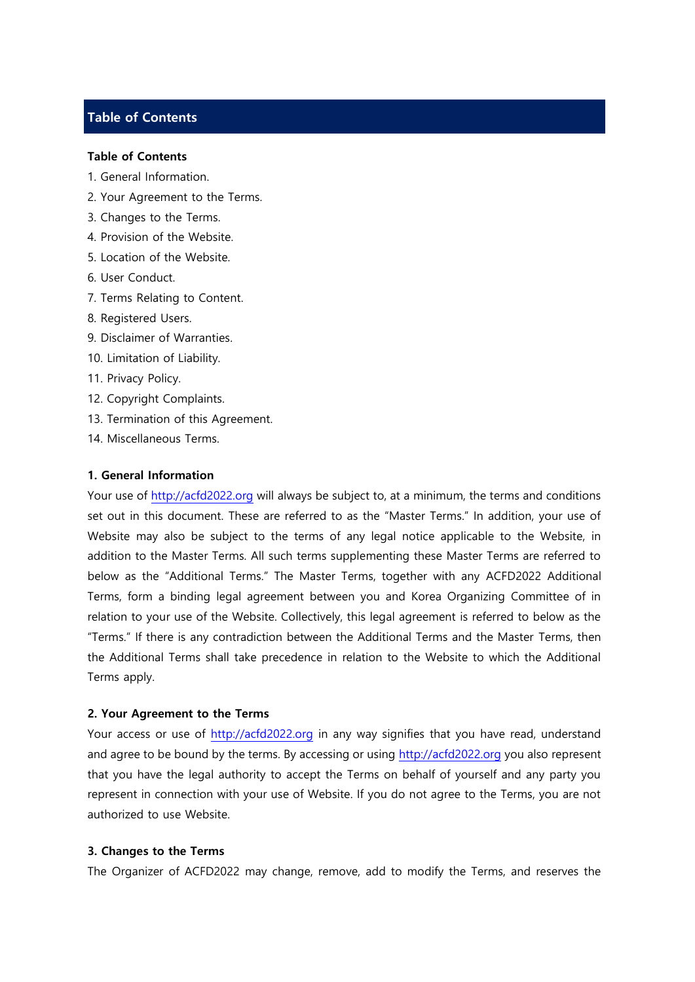# **Table of Contents**

#### **Table of Contents**

- 1. General Information.
- 2. Your Agreement to the Terms.
- 3. Changes to the Terms.
- 4. Provision of the Website.
- 5. Location of the Website.
- 6. User Conduct.
- 7. Terms Relating to Content.
- 8. Registered Users.
- 9. Disclaimer of Warranties.
- 10. Limitation of Liability.
- 11. Privacy Policy.
- 12. Copyright Complaints.
- 13. Termination of this Agreement.
- 14. Miscellaneous Terms.

### **1. General Information**

Your use of [http://acfd2022.org](http://acfd2022.org/) will always be subject to, at a minimum, the terms and conditions set out in this document. These are referred to as the "Master Terms." In addition, your use of Website may also be subject to the terms of any legal notice applicable to the Website, in addition to the Master Terms. All such terms supplementing these Master Terms are referred to below as the "Additional Terms." The Master Terms, together with any ACFD2022 Additional Terms, form a binding legal agreement between you and Korea Organizing Committee of in relation to your use of the Website. Collectively, this legal agreement is referred to below as the "Terms." If there is any contradiction between the Additional Terms and the Master Terms, then the Additional Terms shall take precedence in relation to the Website to which the Additional Terms apply.

#### **2. Your Agreement to the Terms**

Your access or use of [http://acfd2022.org](file:///C:/Users/Administrator/Desktop/www.icfpam2016.org) in any way signifies that you have read, understand and agree to be bound by the terms. By accessing or using [http://acfd2022.org](file:///C:/Users/Administrator/Desktop/www.icfpam2016.org) you also represent that you have the legal authority to accept the Terms on behalf of yourself and any party you represent in connection with your use of Website. If you do not agree to the Terms, you are not authorized to use Website.

#### **3. Changes to the Terms**

The Organizer of ACFD2022 may change, remove, add to modify the Terms, and reserves the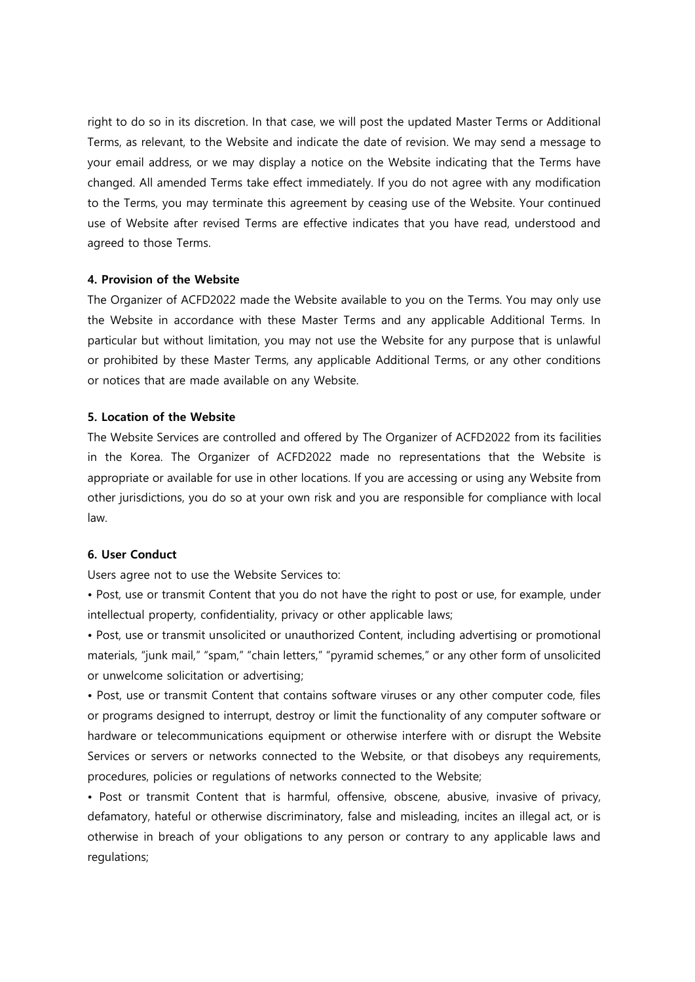right to do so in its discretion. In that case, we will post the updated Master Terms or Additional Terms, as relevant, to the Website and indicate the date of revision. We may send a message to your email address, or we may display a notice on the Website indicating that the Terms have changed. All amended Terms take effect immediately. If you do not agree with any modification to the Terms, you may terminate this agreement by ceasing use of the Website. Your continued use of Website after revised Terms are effective indicates that you have read, understood and agreed to those Terms.

### **4. Provision of the Website**

The Organizer of ACFD2022 made the Website available to you on the Terms. You may only use the Website in accordance with these Master Terms and any applicable Additional Terms. In particular but without limitation, you may not use the Website for any purpose that is unlawful or prohibited by these Master Terms, any applicable Additional Terms, or any other conditions or notices that are made available on any Website.

### **5. Location of the Website**

The Website Services are controlled and offered by The Organizer of ACFD2022 from its facilities in the Korea. The Organizer of ACFD2022 made no representations that the Website is appropriate or available for use in other locations. If you are accessing or using any Website from other jurisdictions, you do so at your own risk and you are responsible for compliance with local law.

### **6. User Conduct**

Users agree not to use the Website Services to:

• Post, use or transmit Content that you do not have the right to post or use, for example, under intellectual property, confidentiality, privacy or other applicable laws;

• Post, use or transmit unsolicited or unauthorized Content, including advertising or promotional materials, "junk mail," "spam," "chain letters," "pyramid schemes," or any other form of unsolicited or unwelcome solicitation or advertising;

• Post, use or transmit Content that contains software viruses or any other computer code, files or programs designed to interrupt, destroy or limit the functionality of any computer software or hardware or telecommunications equipment or otherwise interfere with or disrupt the Website Services or servers or networks connected to the Website, or that disobeys any requirements, procedures, policies or regulations of networks connected to the Website;

• Post or transmit Content that is harmful, offensive, obscene, abusive, invasive of privacy, defamatory, hateful or otherwise discriminatory, false and misleading, incites an illegal act, or is otherwise in breach of your obligations to any person or contrary to any applicable laws and regulations;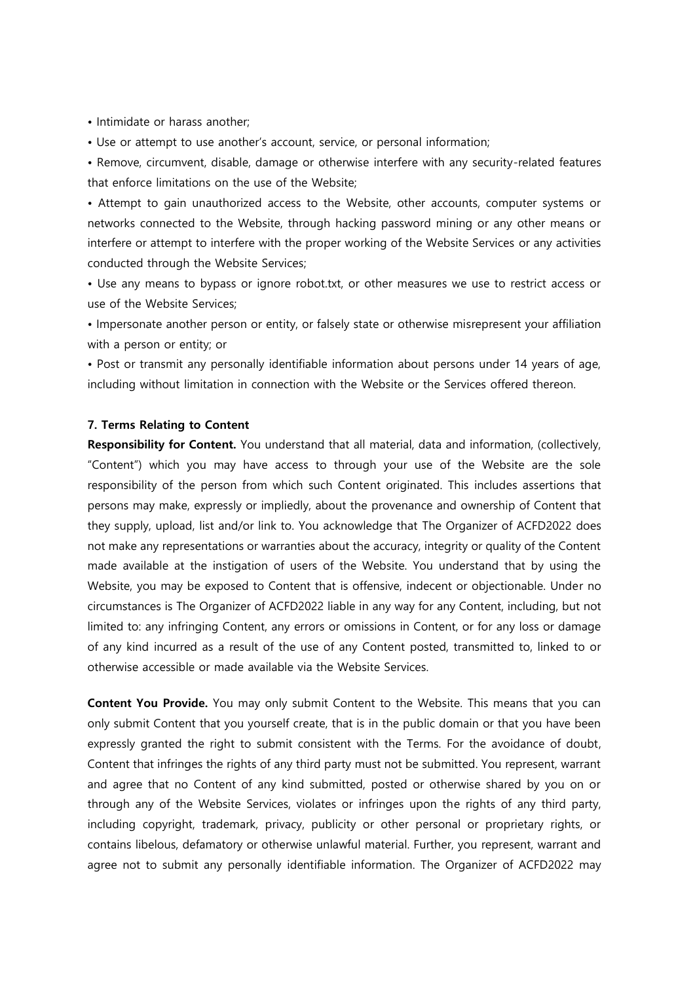• Intimidate or harass another;

• Use or attempt to use another's account, service, or personal information;

• Remove, circumvent, disable, damage or otherwise interfere with any security-related features that enforce limitations on the use of the Website;

• Attempt to gain unauthorized access to the Website, other accounts, computer systems or networks connected to the Website, through hacking password mining or any other means or interfere or attempt to interfere with the proper working of the Website Services or any activities conducted through the Website Services;

• Use any means to bypass or ignore robot.txt, or other measures we use to restrict access or use of the Website Services;

• Impersonate another person or entity, or falsely state or otherwise misrepresent your affiliation with a person or entity; or

• Post or transmit any personally identifiable information about persons under 14 years of age, including without limitation in connection with the Website or the Services offered thereon.

### **7. Terms Relating to Content**

**Responsibility for Content.** You understand that all material, data and information, (collectively, "Content") which you may have access to through your use of the Website are the sole responsibility of the person from which such Content originated. This includes assertions that persons may make, expressly or impliedly, about the provenance and ownership of Content that they supply, upload, list and/or link to. You acknowledge that The Organizer of ACFD2022 does not make any representations or warranties about the accuracy, integrity or quality of the Content made available at the instigation of users of the Website. You understand that by using the Website, you may be exposed to Content that is offensive, indecent or objectionable. Under no circumstances is The Organizer of ACFD2022 liable in any way for any Content, including, but not limited to: any infringing Content, any errors or omissions in Content, or for any loss or damage of any kind incurred as a result of the use of any Content posted, transmitted to, linked to or otherwise accessible or made available via the Website Services.

**Content You Provide.** You may only submit Content to the Website. This means that you can only submit Content that you yourself create, that is in the public domain or that you have been expressly granted the right to submit consistent with the Terms. For the avoidance of doubt, Content that infringes the rights of any third party must not be submitted. You represent, warrant and agree that no Content of any kind submitted, posted or otherwise shared by you on or through any of the Website Services, violates or infringes upon the rights of any third party, including copyright, trademark, privacy, publicity or other personal or proprietary rights, or contains libelous, defamatory or otherwise unlawful material. Further, you represent, warrant and agree not to submit any personally identifiable information. The Organizer of ACFD2022 may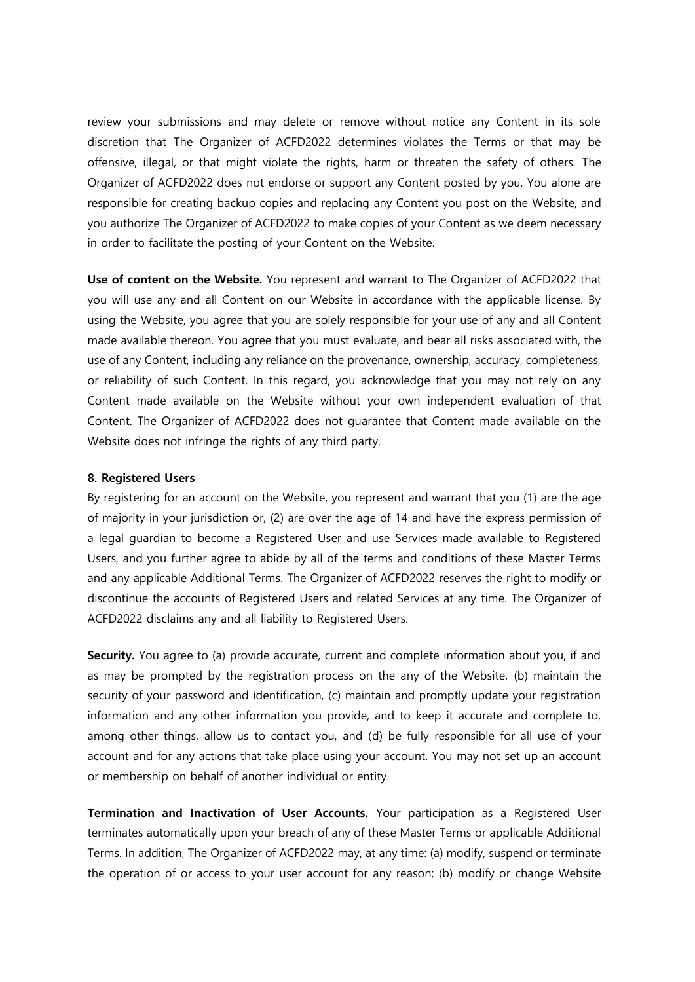review your submissions and may delete or remove without notice any Content in its sole discretion that The Organizer of ACFD2022 determines violates the Terms or that may be offensive, illegal, or that might violate the rights, harm or threaten the safety of others. The Organizer of ACFD2022 does not endorse or support any Content posted by you. You alone are responsible for creating backup copies and replacing any Content you post on the Website, and you authorize The Organizer of ACFD2022 to make copies of your Content as we deem necessary in order to facilitate the posting of your Content on the Website.

**Use of content on the Website.** You represent and warrant to The Organizer of ACFD2022 that you will use any and all Content on our Website in accordance with the applicable license. By using the Website, you agree that you are solely responsible for your use of any and all Content made available thereon. You agree that you must evaluate, and bear all risks associated with, the use of any Content, including any reliance on the provenance, ownership, accuracy, completeness, or reliability of such Content. In this regard, you acknowledge that you may not rely on any Content made available on the Website without your own independent evaluation of that Content. The Organizer of ACFD2022 does not guarantee that Content made available on the Website does not infringe the rights of any third party.

### **8. Registered Users**

By registering for an account on the Website, you represent and warrant that you (1) are the age of majority in your jurisdiction or, (2) are over the age of 14 and have the express permission of a legal guardian to become a Registered User and use Services made available to Registered Users, and you further agree to abide by all of the terms and conditions of these Master Terms and any applicable Additional Terms. The Organizer of ACFD2022 reserves the right to modify or discontinue the accounts of Registered Users and related Services at any time. The Organizer of ACFD2022 disclaims any and all liability to Registered Users.

**Security.** You agree to (a) provide accurate, current and complete information about you, if and as may be prompted by the registration process on the any of the Website, (b) maintain the security of your password and identification, (c) maintain and promptly update your registration information and any other information you provide, and to keep it accurate and complete to, among other things, allow us to contact you, and (d) be fully responsible for all use of your account and for any actions that take place using your account. You may not set up an account or membership on behalf of another individual or entity.

**Termination and Inactivation of User Accounts.** Your participation as a Registered User terminates automatically upon your breach of any of these Master Terms or applicable Additional Terms. In addition, The Organizer of ACFD2022 may, at any time: (a) modify, suspend or terminate the operation of or access to your user account for any reason; (b) modify or change Website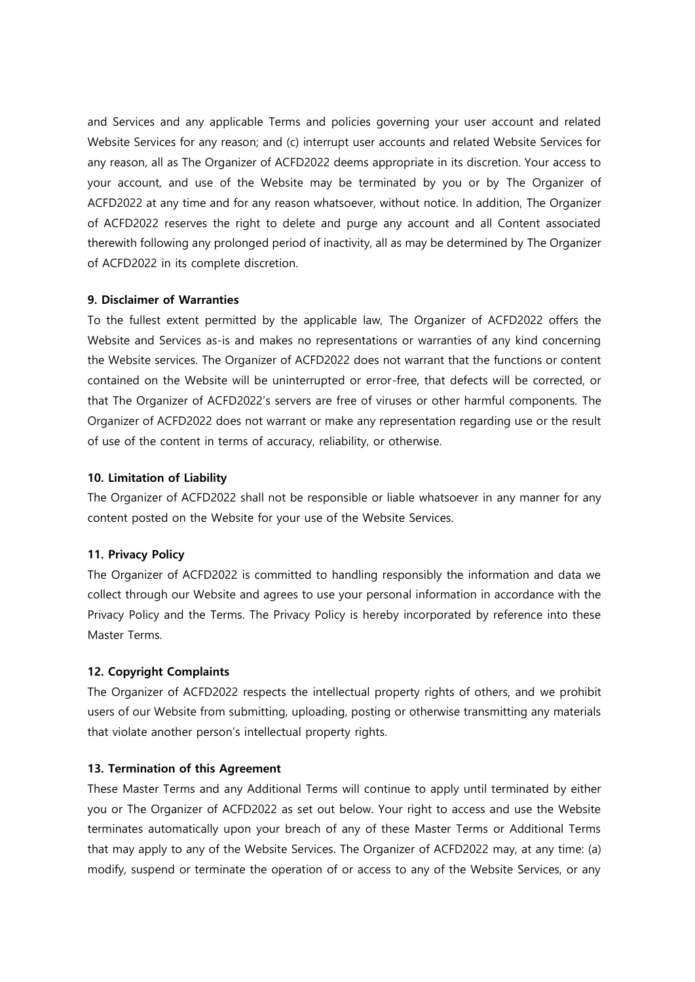and Services and any applicable Terms and policies governing your user account and related Website Services for any reason; and (c) interrupt user accounts and related Website Services for any reason, all as The Organizer of ACFD2022 deems appropriate in its discretion. Your access to your account, and use of the Website may be terminated by you or by The Organizer of ACFD2022 at any time and for any reason whatsoever, without notice. In addition, The Organizer of ACFD2022 reserves the right to delete and purge any account and all Content associated therewith following any prolonged period of inactivity, all as may be determined by The Organizer of ACFD2022 in its complete discretion.

## **9. Disclaimer of Warranties**

To the fullest extent permitted by the applicable law, The Organizer of ACFD2022 offers the Website and Services as-is and makes no representations or warranties of any kind concerning the Website services. The Organizer of ACFD2022 does not warrant that the functions or content contained on the Website will be uninterrupted or error-free, that defects will be corrected, or that The Organizer of ACFD2022's servers are free of viruses or other harmful components. The Organizer of ACFD2022 does not warrant or make any representation regarding use or the result of use of the content in terms of accuracy, reliability, or otherwise.

## **10. Limitation of Liability**

The Organizer of ACFD2022 shall not be responsible or liable whatsoever in any manner for any content posted on the Website for your use of the Website Services.

# **11. Privacy Policy**

The Organizer of ACFD2022 is committed to handling responsibly the information and data we collect through our Website and agrees to use your personal information in accordance with the Privacy Policy and the Terms. The Privacy Policy is hereby incorporated by reference into these Master Terms.

# **12. Copyright Complaints**

The Organizer of ACFD2022 respects the intellectual property rights of others, and we prohibit users of our Website from submitting, uploading, posting or otherwise transmitting any materials that violate another person's intellectual property rights.

# **13. Termination of this Agreement**

These Master Terms and any Additional Terms will continue to apply until terminated by either you or The Organizer of ACFD2022 as set out below. Your right to access and use the Website terminates automatically upon your breach of any of these Master Terms or Additional Terms that may apply to any of the Website Services. The Organizer of ACFD2022 may, at any time: (a) modify, suspend or terminate the operation of or access to any of the Website Services, or any